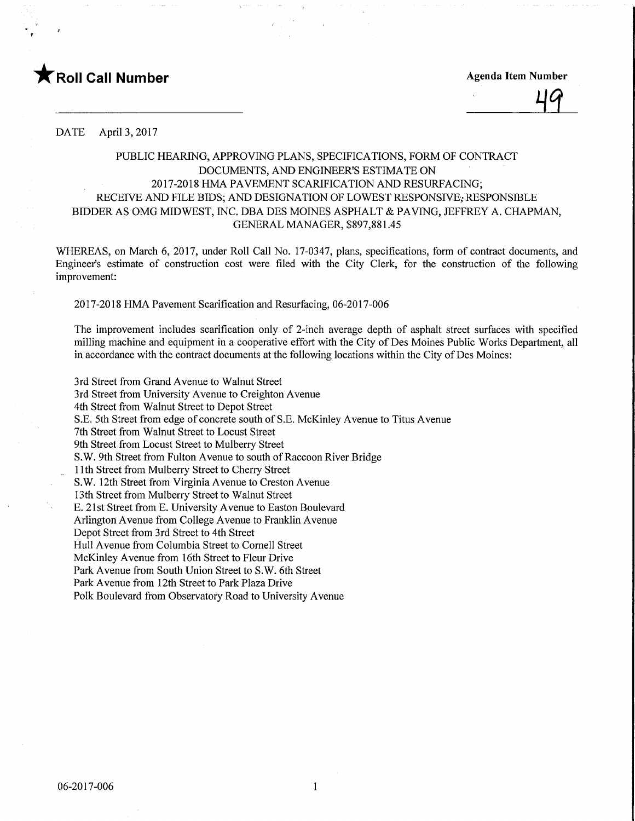



DATE April 3, 2017

## PUBLIC HEARING, APPROVING PLANS, SPECIFICATIONS, FORM OF CONTRACT DOCUMENTS, AND ENGINEER'S ESTIMATE ON 2017-2018 HMA PAVEMENT SCARIFICATION AND RESURFACING; RECEIVE AND FILE BIDS; AND DESIGNATION OF LOWEST RESPONSIVE; RESPONSIBLE BIDDER AS OMG MIDWEST, INC. DBA DES MOINES ASPHALT & PAVING, JEFFREY A. CHAPMAN, GENERAL MANAGER, \$897,881.45

WHEREAS, on March 6, 2017, under Roll Call No. 17-0347, plans, specifications, form of contract documents, and Engineer's estimate of construction cost were filed with the City Clerk, for the construction of the following improvement:

2017-2018 HMA Pavement Scarification and Resurfacing, 06-2017-006

The improvement includes scarification only of 2-inch average depth of asphalt street surfaces with specified milling machine and equipment in a cooperative effort with the City of Des Moines Public Works Department, all in accordance with the contract documents at the following locations within the City of Des Moines:

3rd Street from Grand Avenue to Walnut Street 3rd Street from University Avenue to Creighton Avenue 4th Street from Walnut Street to Depot Street S.E. 5th Street from edge of concrete south of S.E. McKinley Avenue to Titus Avenue 7th Street from Walnut Street to Locust Street 9th Street from Locust Street to Mulberry Street S.W. 9th Street from Fulton Avenue to south of Raccoon River Bridge 11th Street from Mulberry Street to Cherry Street S.W. 12th Street from Virginia Avenue to Creston Avenue 13th Street from Mulberry Street to Walnut Street E. 21st Street from E. University Avenue to Easton Boulevard Arlington Avenue from College Avenue to Franklin Avenue Depot Street from 3rd Street to 4th Street Hull Avenue from Columbia Street to Comell Street McKinley Avenue from 16th Street to Fleur Drive Park Avenue from South Union Street to S.W. 6th Street Park Avenue from 12th Street to Park Plaza Drive Polk Boulevard from Observatory Road to University Avenue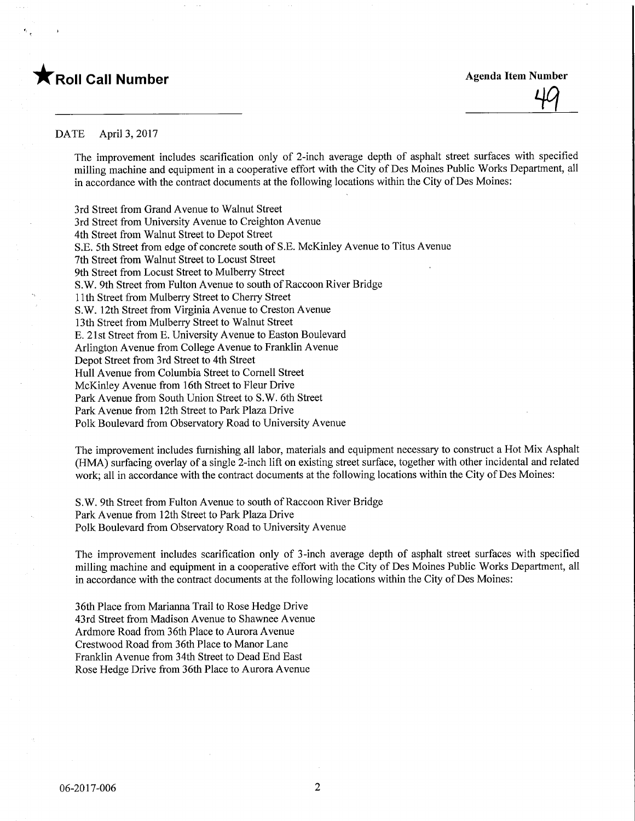



## DATE April 3, 2017

The improvement includes scarification only of 2-inch average depth of asphalt street surfaces with specified milling machine and equipment in a cooperative effort with the City of Des Moines Public Works Department, all in accordance with the contract documents at the following locations within the City of Des Moines:

3rd Street from Grand Avenue to Walnut Street 3rd Street from University Avenue to Creighton Avenue 4th Street from Walnut Street to Depot Street S.E. 5th Street from edge of concrete south of S.E. McKinley Avenue to Titus Avenue 7th Street from Walnut Street to Locust Street 9th Street from Locust Street to Mulberry Street S.W. 9th Street from Fulton Avenue to south of Raccoon River Bridge 11th Street from Mulberry Street to Cherry Street S.W. 12th Street from Virginia Avenue to Creston Avenue 13th Street from Mulberry Street to Walnut Street E. 21st Street from E. University Avenue to Easton Boulevard Arlington Avenue from College Avenue to Franklin Avenue Depot Street from 3rd Street to 4th Street Hull Avenue from Columbia Street to Comell Street McKinley Avenue from 16th Street to Fleur Drive Park Avenue from South Union Street to S.W. 6th Street Park Avenue from 12th Street to Park Plaza Drive Polk Boulevard from Observatory Road to University Avenue

The improvement includes furnishing all labor, materials and equipment necessary to construct a Hot Mix Asphalt (HMA) surfacing overlay of a single 2-inch lifit on existing street surface, together with other incidental and related work; all in accordance with the contract documents at the following locations within the City of Des Moines:

S.W. 9th Street from Fulton Avenue to south of Raccoon River Bridge Park Avenue from 12th Street to Park Plaza Drive Polk Boulevard from Observatory Road to University Avenue

The improvement includes scarification only of 3-inch average depth of asphalt street surfaces with specified milling machine and equipment in a cooperative effort with the City of Des Moines Public Works Department, all in accordance with the contract documents at the following locations within the City of Des Moines:

36th Place from Marianna Trail to Rose Hedge Drive 43rd Street from Madison Avenue to Shawnee Avenue Ardmore Road from 36th Place to Aurora Avenue Crestwood Road from 36th Place to Manor Lane Franklin Avenue from 34th Street to Dead End East Rose Hedge Drive from 36th Place to Aurora Avenue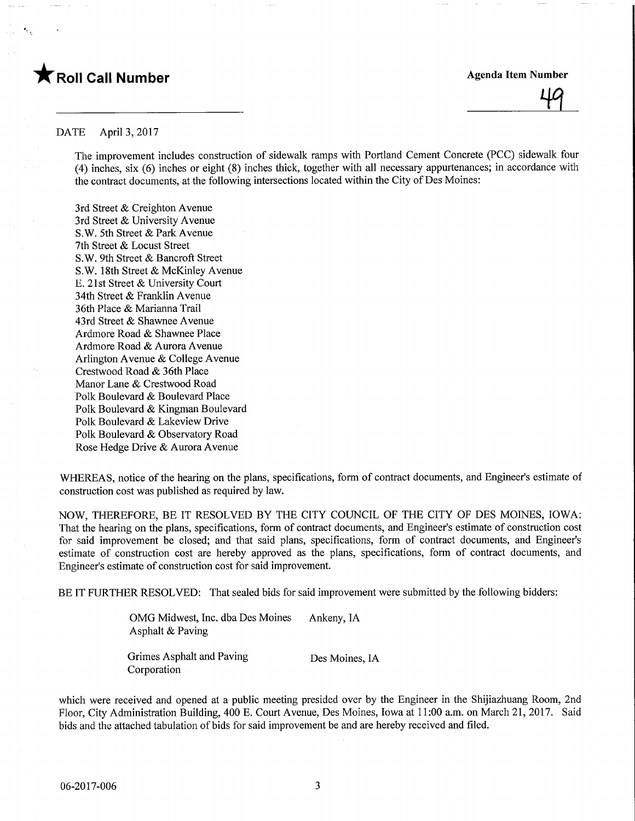



## DATE April 3, 2017

The improvement includes construction of sidewalk ramps with Portland Cement Concrete (PCC) sidewalk four (4) inches, six (6) inches or eight (8) inches thick, together with all necessary appurtenances; in accordance with the contract documents, at the following intersections located within the City of Des Moines:

3rd Street & Creighton Avenue 3rd Street & University Avenue S.W. 5th Street & Park Avenue 7th Street & Locust Street S.W. 9th Street & Bancroft Street S.W. 18th Street & McKinley Avenue E. 21st Street & University Court 34th Street & Franklin Avenue 36th Place & Marianna Trail 43rd Street & Shawnee Avenue Ardmore Road & Shawnee Place Ardmore Road & Aurora Avenue Arlington Avenue & College Avenue Crestwood Road & 36th Place Manor Lane & Crestwood Road Polk Boulevard & Boulevard Place Polk Boulevard & Kingman Boulevard Polk Boulevard & Lakeview Drive Polk Boulevard & Observatory Road Rose Hedge Drive & Aurora Avenue

WHEREAS, notice of the hearing on the plans, specifications, form of contract documents, and Engineer's estimate of construction cost was published as required by law.

NOW, THEREFORE, BE IT RESOLVED BY THE CITY COUNCIL OF THE CITY OF DES MOINES, IOWA: That the hearing on the plans, specifications, form of contract documents, and Engineer's estimate of construction cost for said improvement be closed; and that said plans, specifications, form of contract documents, and Engineer's estimate of construction cost are hereby approved as the plans, specifications, form of contract documents, and Engineer's estimate of construction cost for said improvement.

BE IT FURTHER RESOLVED: That sealed bids for said improvement were submitted by the following bidders:

OMG Midwest, Inc. dba Des Moines Ankeny, IA Asphalt & Paving

Grimes Asphalt and Paving Des Moines, IA Corporation

which were received and opened at a public meeting presided over by the Engineer in the Shijiazhuang Room, 2nd Floor, City Administration Building, 400 E. Court Avenue, Des Moines, Iowa at 11:00 a.m. on March 21, 2017. Said bids and the attached tabulation of bids for said improvement be and are hereby received and filed.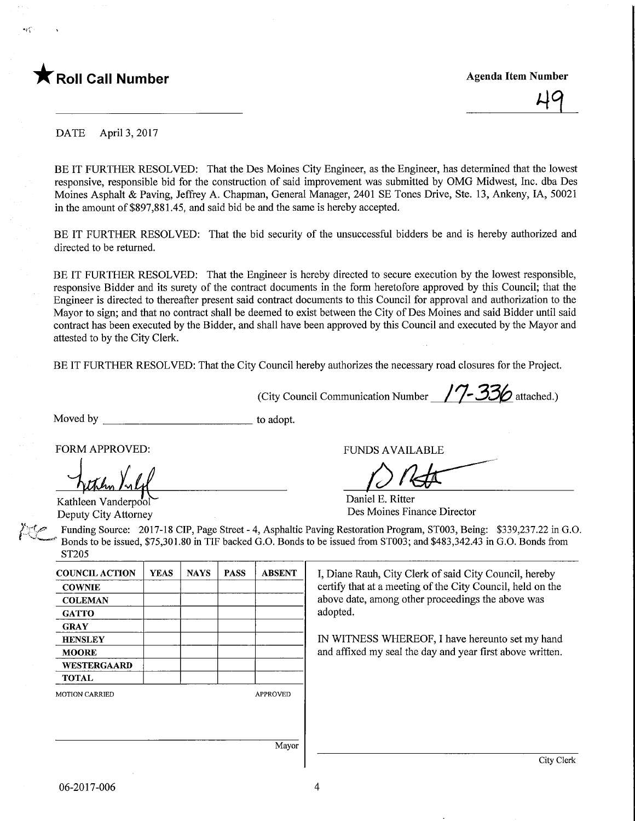

515



DATE April 3, 2017

BE IT FURTHER RESOLVED: That the Des Moines City Engineer, as the Engineer, has determined that the lowest responsive, responsible bid for the construction of said improvement was submitted by OMG Midwest, Inc. dba Des Moines Asphalt & Paving, Jeffrey A. Chapman, General Manager, 2401 SE Tones Drive, Ste. 13, Ankeny, IA, 50021 in the amount of \$897,881.45, and said bid be and the same is hereby accepted.

BE IT FURTHER RESOLVED: That the bid security of the unsuccessful bidders be and is hereby authorized and directed to be returned.

BE IT FURTHER RESOLVED: That the Engineer is hereby directed to secure execution by the lowest responsible, responsive Bidder and its surety of the contract documents in the form heretofore approved by this Council; that the Engineer is directed to thereafter present said contract documents to this Council for approval and authorization to the Mayor to sign; and that no contract shall be deemed to exist between the City of Des Moines and said Bidder until said contract has been executed by the Bidder, and shall have been approved by this Council and executed by the Mayor and attested to by the City Clerk.

BE IT FURTHER RESOLVED: That the City Council hereby authorizes the necessary road closures for the Project.

(City Council Communication Number /  $\frac{7}{7}$  336 attached.)

Moved by to adopt.

FORM APPROVED: TUNDS AVAILABLE

 $\overline{M}$ 

Kathleen Vanderpo'of Deputy City Attorney

Daniel E. Ritter

Des Moines Finance Director

Funding Source: 2017-18 CIP, Page Street - 4, Asphaltic Paving Restoration Program, ST003, Being: \$339,237.22 in G.O. Bonds to be issued, \$75,301.80 in TIF backed G.O. Bonds to be issued from ST003; and \$483,342.43 in G.O. Bonds from ST205

| <b>COUNCIL ACTION</b> | <b>YEAS</b> | <b>NAYS</b> | <b>PASS</b> | <b>ABSENT</b>   |
|-----------------------|-------------|-------------|-------------|-----------------|
| <b>COWNIE</b>         |             |             |             |                 |
| <b>COLEMAN</b>        |             |             |             |                 |
| <b>GATTO</b>          |             |             |             |                 |
| <b>GRAY</b>           |             |             |             |                 |
| <b>HENSLEY</b>        |             |             |             |                 |
| <b>MOORE</b>          |             |             |             |                 |
| <b>WESTERGAARD</b>    |             |             |             |                 |
| <b>TOTAL</b>          |             |             |             |                 |
| <b>MOTION CARRIED</b> |             |             |             | <b>APPROVED</b> |
|                       |             |             |             |                 |

I, Diane Rauh, City Clerk of said City Council, hereby certify that at a meeting of the City Council, held on the above date, among other proceedings the above was adopted.

IN WITNESS WHEREOF, I have hereunto set my hand and affixed my seal the day and year first above written.

Mayor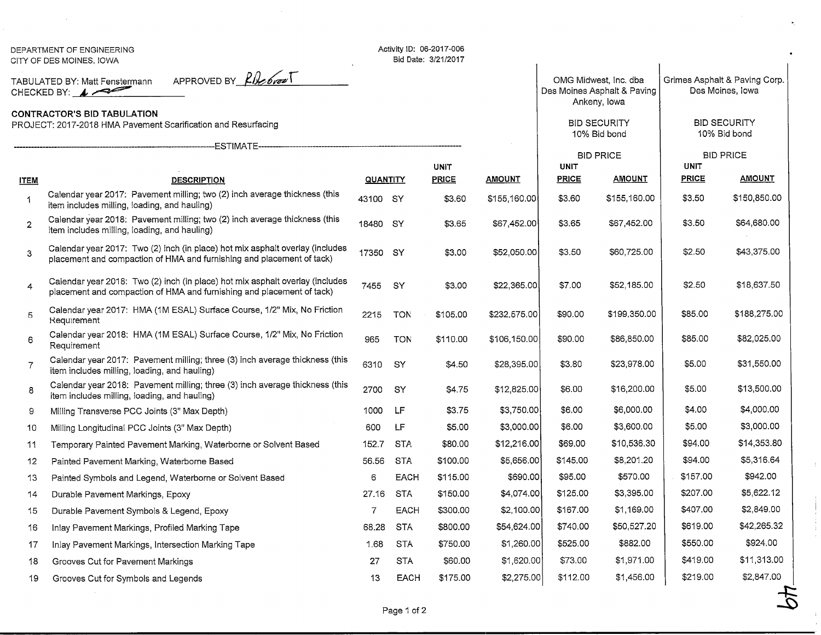|                                                                                                                                                                                       | DEPARTMENT OF ENGINEERING<br>CITY OF DES MOINES, IOWA                                                                                                  |                 |             | Activity ID: 06-2017-006<br>Bid Date: 3/21/2017 |               |                                                                                                             |               |                                                                                          |               |
|---------------------------------------------------------------------------------------------------------------------------------------------------------------------------------------|--------------------------------------------------------------------------------------------------------------------------------------------------------|-----------------|-------------|-------------------------------------------------|---------------|-------------------------------------------------------------------------------------------------------------|---------------|------------------------------------------------------------------------------------------|---------------|
| APPROVED BY Plebral<br>TABULATED BY: Matt Fenstermann<br>CHECKED BY: $\sqrt{}$<br><b>CONTRACTOR'S BID TABULATION</b><br>PROJECT: 2017-2018 HMA Pavement Scarification and Resurfacing |                                                                                                                                                        |                 |             |                                                 |               | OMG Midwest, Inc. dba<br>Des Moines Asphalt & Paving<br>Ankeny, lowa<br><b>BID SECURITY</b><br>10% Bid bond |               | Grimes Asphalt & Paving Corp.<br>Des Moines, Iowa<br><b>BID SECURITY</b><br>10% Bid bond |               |
|                                                                                                                                                                                       |                                                                                                                                                        |                 |             |                                                 |               |                                                                                                             |               |                                                                                          |               |
|                                                                                                                                                                                       | ESTIMATE-----                                                                                                                                          |                 |             |                                                 |               | <b>BID PRICE</b>                                                                                            |               | <b>BID PRICE</b>                                                                         |               |
|                                                                                                                                                                                       |                                                                                                                                                        |                 |             | <b>UNIT</b>                                     |               | <b>UNIT</b>                                                                                                 |               | <b>UNIT</b>                                                                              |               |
| <b>ITEM</b>                                                                                                                                                                           | <b>DESCRIPTION</b>                                                                                                                                     | <b>QUANTITY</b> |             | <b>PRICE</b>                                    | <b>AMOUNT</b> | PRICE                                                                                                       | <u>AMOUNT</u> | <b>PRICE</b>                                                                             | <b>AMOUNT</b> |
| 1                                                                                                                                                                                     | Calendar year 2017: Pavement milling; two (2) inch average thickness (this<br>item includes milling, loading, and hauling)                             | 43100 SY        |             | \$3.60                                          | \$155,160.00  | \$3.60                                                                                                      | \$155,160.00  | \$3.50                                                                                   | \$150,850.00  |
| $\overline{2}$                                                                                                                                                                        | Calendar year 2018: Pavement milling; two (2) inch average thickness (this<br>item includes milling, loading, and hauling)                             | 18480 SY        |             | \$3.65                                          | \$67,452.00   | \$3.65                                                                                                      | \$67,452.00   | \$3.50                                                                                   | \$64,680.00   |
| 3                                                                                                                                                                                     | Calendar year 2017: Two (2) inch (in place) hot mix asphalt overlay (includes<br>placement and compaction of HMA and furnishing and placement of tack) | 17350 SY        |             | \$3.00                                          | \$52,050.00   | \$3.50                                                                                                      | \$60,725.00   | \$2.50                                                                                   | \$43,375.00   |
| $\overline{4}$                                                                                                                                                                        | Calendar year 2018: Two (2) inch (in place) hot mix asphalt overlay (includes<br>placement and compaction of HMA and furnishing and placement of tack) | 7455            | SY          | \$3.00                                          | \$22,365.00   | \$7.00                                                                                                      | \$52,185.00   | \$2.50                                                                                   | \$18,637.50   |
| 5                                                                                                                                                                                     | Calendar year 2017: HMA (1M ESAL) Surface Course, 1/2" Mix, No Friction<br>Requirement                                                                 | 2215            | <b>TON</b>  | \$105.00                                        | \$232,575.00  | \$90.00                                                                                                     | \$199,350.00  | \$85.00                                                                                  | \$188,275.00  |
| 6                                                                                                                                                                                     | Calendar year 2018: HMA (1M ESAL) Surface Course, 1/2" Mix, No Friction<br>Requirement                                                                 | 965             | <b>TON</b>  | \$110.00                                        | \$106,150.00  | \$90.00                                                                                                     | \$86,850.00   | \$85.00                                                                                  | \$82,025.00   |
| $\overline{7}$                                                                                                                                                                        | Calendar year 2017: Pavement milling; three (3) inch average thickness (this<br>item includes milling, loading, and hauling)                           | 6310            | <b>SY</b>   | \$4.50                                          | \$28,395.00   | \$3.80                                                                                                      | \$23,978.00   | \$5.00                                                                                   | \$31,550.00   |
| 8                                                                                                                                                                                     | Calendar year 2018: Pavement milling; three (3) inch average thickness (this<br>item includes milling, loading, and hauling)                           | 2700            | SY          | \$4.75                                          | \$12,825.00   | \$6.00                                                                                                      | \$16,200.00   | \$5.00                                                                                   | \$13,500.00   |
| 9                                                                                                                                                                                     | Milling Transverse PCC Joints (3" Max Depth)                                                                                                           | 1000            | LF          | \$3.75                                          | \$3,750.00    | \$6.00                                                                                                      | \$6,000.00    | \$4.00                                                                                   | \$4,000.00    |
| 10                                                                                                                                                                                    | Milling Longitudinal PCC Joints (3" Max Depth)                                                                                                         | 600             | LF          | \$5.00                                          | \$3,000.00    | \$6.00                                                                                                      | \$3,600.00    | \$5.00                                                                                   | \$3,000.00    |
| 11                                                                                                                                                                                    | Temporary Painted Pavement Marking, Waterborne or Solvent Based                                                                                        | 152.7           | <b>STA</b>  | \$80.00                                         | \$12,216.00   | \$69.00                                                                                                     | \$10,536.30   | \$94.00                                                                                  | \$14,353.80   |
| 12                                                                                                                                                                                    | Painted Pavement Marking, Waterborne Based                                                                                                             | 56.56           | <b>STA</b>  | \$100.00                                        | \$5,656.00    | \$145.00                                                                                                    | \$8,201.20    | \$94.00                                                                                  | \$5,316.64    |
| 13                                                                                                                                                                                    | Painted Symbols and Legend, Waterborne or Solvent Based                                                                                                | 6               | <b>EACH</b> | \$115.00                                        | \$690.00      | \$95.00                                                                                                     | \$570.00      | \$157.00                                                                                 | \$942.00      |
| 14                                                                                                                                                                                    | Durable Pavement Markings, Epoxy                                                                                                                       | 27.16           | STA         | \$150.00                                        | \$4,074.00    | \$125.00                                                                                                    | \$3,395.00    | \$207.00                                                                                 | \$5,622.12    |
| 15                                                                                                                                                                                    | Durable Pavement Symbols & Legend, Epoxy                                                                                                               | $\overline{7}$  | EACH        | \$300.00                                        | \$2,100.00    | \$167.00                                                                                                    | \$1,169.00    | \$407.00                                                                                 | \$2,849.00    |
| 16                                                                                                                                                                                    | Inlay Pavement Markings, Profiled Marking Tape                                                                                                         | 68.28           | <b>STA</b>  | \$800.00                                        | \$54,624.00   | \$740.00                                                                                                    | \$50,527.20   | \$619.00                                                                                 | \$42,265.32   |
| 17                                                                                                                                                                                    | Inlay Pavement Markings, Intersection Marking Tape                                                                                                     | 1.68            | <b>STA</b>  | \$750.00                                        | \$1,260.00    | \$525.00                                                                                                    | \$882.00      | \$550.00                                                                                 | \$924.00      |
| 18                                                                                                                                                                                    | Grooves Cut for Pavement Markings                                                                                                                      | 27              | STA         | \$60.00                                         | \$1,620.00    | \$73.00                                                                                                     | \$1,971.00    | \$419.00                                                                                 | \$11,313.00   |
| 19                                                                                                                                                                                    | Grooves Cut for Symbols and Legends                                                                                                                    | 13              | <b>EACH</b> | \$175.00                                        | \$2,275.00    | \$112.00                                                                                                    | \$1,456.00    | \$219.00                                                                                 | \$2,847.00    |
|                                                                                                                                                                                       |                                                                                                                                                        |                 |             |                                                 |               |                                                                                                             |               |                                                                                          |               |

 $\bar{z}$ 

 $\ddot{z}$ 

 $\pm$ 

 $\sim 7$ 

Y,